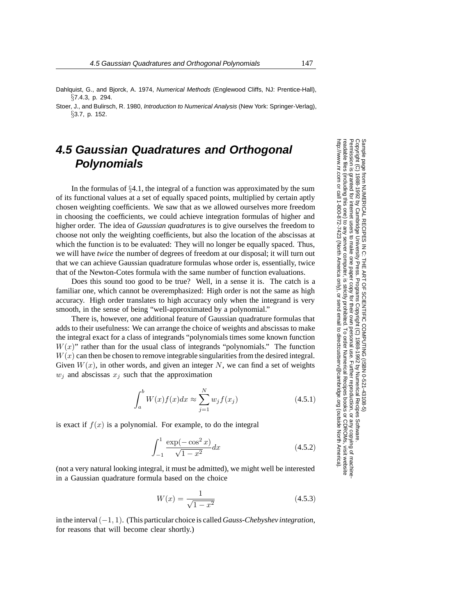Dahlquist, G., and Bjorck, A. 1974, Numerical Methods (Englewood Cliffs, NJ: Prentice-Hall), §7.4.3, p. 294.

Stoer, J., and Bulirsch, R. 1980, Introduction to Numerical Analysis (New York: Springer-Verlag), §3.7, p. 152.

# **4.5 Gaussian Quadratures and Orthogonal Polynomials**

In the formulas of  $\S 4.1$ , the integral of a function was approximated by the sum of its functional values at a set of equally spaced points, multiplied by certain aptly chosen weighting coefficients. We saw that as we allowed ourselves more freedom in choosing the coefficients, we could achieve integration formulas of higher and higher order. The idea of *Gaussian quadratures* is to give ourselves the freedom to choose not only the weighting coefficients, but also the location of the abscissas at which the function is to be evaluated: They will no longer be equally spaced. Thus, we will have *twice* the number of degrees of freedom at our disposal; it will turn out that we can achieve Gaussian quadrature formulas whose order is, essentially, twice that of the Newton-Cotes formula with the same number of function evaluations.

Does this sound too good to be true? Well, in a sense it is. The catch is a familiar one, which cannot be overemphasized: High order is not the same as high accuracy. High order translates to high accuracy only when the integrand is very smooth, in the sense of being "well-approximated by a polynomial."

There is, however, one additional feature of Gaussian quadrature formulas that adds to their usefulness: We can arrange the choice of weights and abscissas to make the integral exact for a class of integrands "polynomials times some known function  $W(x)$ " rather than for the usual class of integrands "polynomials." The function  $W(x)$  can then be chosen to remove integrable singularities from the desired integral. Given  $W(x)$ , in other words, and given an integer N, we can find a set of weights  $w_i$  and abscissas  $x_i$  such that the approximation

$$
\int_{a}^{b} W(x)f(x)dx \approx \sum_{j=1}^{N} w_j f(x_j)
$$
\n(4.5.1)

is exact if  $f(x)$  is a polynomial. For example, to do the integral

$$
\int_{-1}^{1} \frac{\exp(-\cos^2 x)}{\sqrt{1 - x^2}} dx
$$
\n(4.5.2)

(not a very natural looking integral, it must be admitted), we might well be interested in a Gaussian quadrature formula based on the choice

$$
W(x) = \frac{1}{\sqrt{1 - x^2}}\tag{4.5.3}
$$

in the interval(−1, 1). (This particular choice is called *Gauss-Chebyshev integration*, for reasons that will become clear shortly.)

Sample page f<br>Copyright (C)<br>Permission is ( Copyright (C) 1988-1992 by Cambridge University Press.Sample page from NUMERICAL RECIPES IN C: THE ART OF SCIENTIFIC COMPUTING (ISBN 0-521-43108-5) http://www.nr.com or call 1-800-872-7423 (North America only),readable files (including this one) to any serverPermission is granted for internet users to make one paper copy for their own personal use. Further reproduction, or any copyin from NUMERICAL RECIPES IN C: THE ART OF SCIENTIFIC COMPUTING (ISBN 0-521-43108-5)<br>1988-1992 by Cambridge University Press. Programs Copyright (C) 1989-1992 by Numerical Recipes Software computer, is strictly prohibited. To order Numerical Recipes booksPrograms Copyright (C) 1988-1992 by Numerical Recipes Software. or send email to directcustserv@cambridge.org (outside North America). or CDROMs, visit website g of machine-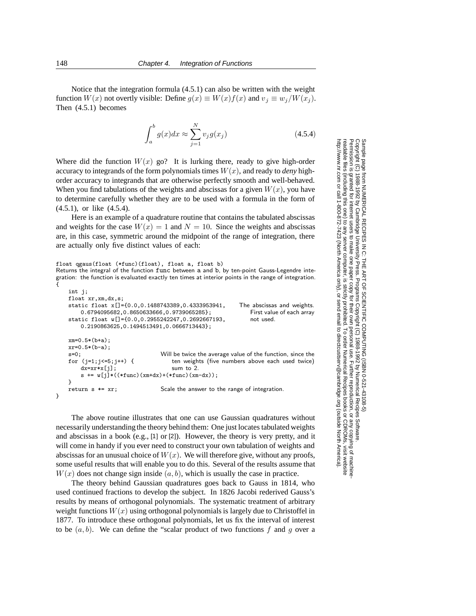Notice that the integration formula (4.5.1) can also be written with the weight function  $W(x)$  not overtly visible: Define  $g(x) \equiv W(x) f(x)$  and  $v_i \equiv w_i/W(x_i)$ . Then (4.5.1) becomes

$$
\int_{a}^{b} g(x)dx \approx \sum_{j=1}^{N} v_j g(x_j)
$$
\n(4.5.4)

Where did the function  $W(x)$  go? It is lurking there, ready to give high-order accuracy to integrands of the form polynomials times  $W(x)$ , and ready to *deny* highorder accuracy to integrands that are otherwise perfectly smooth and well-behaved. When you find tabulations of the weights and abscissas for a given  $W(x)$ , you have to determine carefully whether they are to be used with a formula in the form of (4.5.1), or like (4.5.4).

Here is an example of a quadrature routine that contains the tabulated abscissas and weights for the case  $W(x)=1$  and  $N = 10$ . Since the weights and abscissas are, in this case, symmetric around the midpoint of the range of integration, there are actually only five distinct values of each:

```
float qgaus(float (*func)(float), float a, float b)<br>Returns the integral of the function func between a and b, by ten-point Gauss-Legendre inte-
Returns the integral of the function func between a and b, by ten-point Gauss-Legendre inte-
gration: the function is evaluated exactly ten times at interior points in the range of integration.
{
     int j;
     float xr,xm,dx,s;
     static float x[]={0.0,0.1488743389,0.4333953941, The abscissas and weights.
                                                                                  First value of each array
                                                                                  not used.
          0.6794095682,0.8650633666,0.9739065285};
     static float w[]={0.0,0.2955242247,0.2692667193,
          0.2190863625,0.1494513491,0.0666713443};
     xm=0.5*(b+a);
     xr=0.5*(b-a);
     s=0; Separant Mill be twice the average value of the function, since the summary \sim Mill be twice the average value of the function, since the
                                                 ten weights (five numbers above each used twice)
                                                 sum to 2.
     for (j=1;j<=5;j++) {
          dx=xr*x[j];
           s += w[j] * ((*func)(xm+dx)+(*func)(xm-dx));}
     return s *= xr; Scale the answer to the range of integration.
}
```
The above routine illustrates that one can use Gaussian quadratures without necessarily understanding the theory behind them: One just locates tabulated weights and abscissas in a book (e.g., [1] or [2]). However, the theory is very pretty, and it will come in handy if you ever need to construct your own tabulation of weights and abscissas for an unusual choice of  $W(x)$ . We will therefore give, without any proofs, some useful results that will enable you to do this. Several of the results assume that  $W(x)$  does not change sign inside  $(a, b)$ , which is usually the case in practice.

The theory behind Gaussian quadratures goes back to Gauss in 1814, who used continued fractions to develop the subject. In 1826 Jacobi rederived Gauss's results by means of orthogonal polynomials. The systematic treatment of arbitrary weight functions  $W(x)$  using orthogonal polynomials is largely due to Christoffel in 1877. To introduce these orthogonal polynomials, let us fix the interval of interest to be  $(a, b)$ . We can define the "scalar product of two functions f and g over a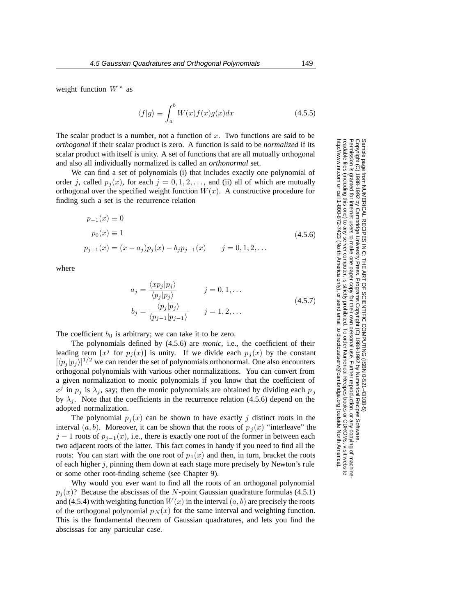weight function  $W$ " as

$$
\langle f|g \rangle \equiv \int_{a}^{b} W(x)f(x)g(x)dx \qquad (4.5.5)
$$

The scalar product is a number, not a function of  $x$ . Two functions are said to be *orthogonal* if their scalar product is zero. A function is said to be *normalized* if its scalar product with itself is unity. A set of functions that are all mutually orthogonal and also all individually normalized is called an *orthonormal* set.

We can find a set of polynomials (i) that includes exactly one polynomial of order j, called  $p_i(x)$ , for each  $j = 0, 1, 2, \ldots$ , and (ii) all of which are mutually orthogonal over the specified weight function  $W(x)$ . A constructive procedure for finding such a set is the recurrence relation

$$
p_{-1}(x) \equiv 0
$$
  
\n
$$
p_0(x) \equiv 1
$$
  
\n
$$
p_{j+1}(x) = (x - a_j)p_j(x) - b_jp_{j-1}(x)
$$
  
\n
$$
j = 0, 1, 2, ...
$$
\n(4.5.6)

where

$$
a_j = \frac{\langle xp_j|p_j\rangle}{\langle p_j|p_j\rangle} \qquad j = 0, 1, ...
$$
  

$$
b_j = \frac{\langle p_j|p_j\rangle}{\langle p_{j-1}|p_{j-1}\rangle} \qquad j = 1, 2, ...
$$
 (4.5.7)

The coefficient  $b_0$  is arbitrary; we can take it to be zero.

The polynomials defined by (4.5.6) are *monic*, i.e., the coefficient of their leading term  $[x^j$  for  $p_i(x)]$  is unity. If we divide each  $p_i(x)$  by the constant  $[\langle p_j | p_j \rangle]^{1/2}$  we can render the set of polynomials orthonormal. One also encounters orthogonal polynomials with various other normalizations. You can convert from a given normalization to monic polynomials if you know that the coefficient of  $x^j$  in  $p_j$  is  $\lambda_j$ , say; then the monic polynomials are obtained by dividing each  $p_j$ by  $\lambda_i$ . Note that the coefficients in the recurrence relation (4.5.6) depend on the adopted normalization.

The polynomial  $p_i(x)$  can be shown to have exactly j distinct roots in the interval  $(a, b)$ . Moreover, it can be shown that the roots of  $p_i(x)$  "interleave" the  $j-1$  roots of  $p_{j-1}(x)$ , i.e., there is exactly one root of the former in between each two adjacent roots of the latter. This fact comes in handy if you need to find all the roots: You can start with the one root of  $p_1(x)$  and then, in turn, bracket the roots of each higher  $i$ , pinning them down at each stage more precisely by Newton's rule or some other root-finding scheme (see Chapter 9).

Why would you ever want to find all the roots of an orthogonal polynomial  $p_i(x)$ ? Because the abscissas of the N-point Gaussian quadrature formulas (4.5.1) and (4.5.4) with weighting function  $W(x)$  in the interval  $(a, b)$  are precisely the roots of the orthogonal polynomial  $p_N(x)$  for the same interval and weighting function. This is the fundamental theorem of Gaussian quadratures, and lets you find the abscissas for any particular case.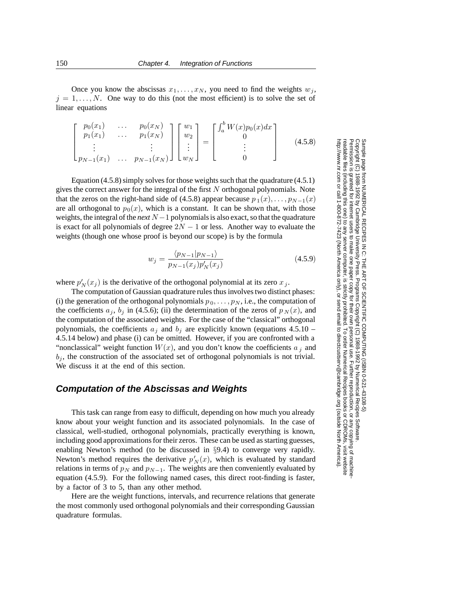Once you know the abscissas  $x_1, \ldots, x_N$ , you need to find the weights  $w_j$ ,  $j = 1, \ldots, N$ . One way to do this (not the most efficient) is to solve the set of linear equations

$$
\begin{bmatrix} p_0(x_1) & \cdots & p_0(x_N) \\ p_1(x_1) & \cdots & p_1(x_N) \\ \vdots & & \vdots \\ p_{N-1}(x_1) & \cdots & p_{N-1}(x_N) \end{bmatrix} \begin{bmatrix} w_1 \\ w_2 \\ \vdots \\ w_N \end{bmatrix} = \begin{bmatrix} \int_a^b W(x) p_0(x) dx \\ 0 \\ \vdots \\ 0 \end{bmatrix}
$$
 (4.5.8)

Equation (4.5.8) simply solves for those weights such that the quadrature (4.5.1) gives the correct answer for the integral of the first  $N$  orthogonal polynomials. Note that the zeros on the right-hand side of (4.5.8) appear because  $p_1(x), \ldots, p_{N-1}(x)$ are all orthogonal to  $p_0(x)$ , which is a constant. It can be shown that, with those weights, the integral of the *next*  $N-1$  polynomials is also exact, so that the quadrature is exact for all polynomials of degree  $2N - 1$  or less. Another way to evaluate the weights (though one whose proof is beyond our scope) is by the formula

$$
w_j = \frac{\langle p_{N-1} | p_{N-1} \rangle}{p_{N-1}(x_j) p'_N(x_j)}
$$
(4.5.9)

where  $p'_N(x_j)$  is the derivative of the orthogonal polynomial at its zero  $x_j$ .

The computation of Gaussian quadrature rules thus involves two distinct phases: (i) the generation of the orthogonal polynomials  $p_0, \ldots, p_N$ , i.e., the computation of the coefficients  $a_j$ ,  $b_j$  in (4.5.6); (ii) the determination of the zeros of  $p_N(x)$ , and the computation of the associated weights. For the case of the "classical" orthogonal polynomials, the coefficients  $a_j$  and  $b_j$  are explicitly known (equations 4.5.10 – 4.5.14 below) and phase (i) can be omitted. However, if you are confronted with a "nonclassical" weight function  $W(x)$ , and you don't know the coefficients  $a_j$  and  $b_i$ , the construction of the associated set of orthogonal polynomials is not trivial. We discuss it at the end of this section.

### **Computation of the Abscissas and Weights**

This task can range from easy to difficult, depending on how much you already know about your weight function and its associated polynomials. In the case of classical, well-studied, orthogonal polynomials, practically everything is known, including good approximations for their zeros. These can be used as starting guesses, enabling Newton's method (to be discussed in §9.4) to converge very rapidly. Newton's method requires the derivative  $p'_N(x)$ , which is evaluated by standard relations in terms of  $p_N$  and  $p_{N-1}$ . The weights are then conveniently evaluated by equation (4.5.9). For the following named cases, this direct root-finding is faster, by a factor of 3 to 5, than any other method.

Here are the weight functions, intervals, and recurrence relations that generate the most commonly used orthogonal polynomials and their corresponding Gaussian quadrature formulas.

Sample page ti<br>Copyright (C) 1 Copyright (C) 1988-1992 by Cambridge University Press.Sample page from NUMERICAL RECIPES IN C: THE ART OF SCIENTIFIC COMPUTING (ISBN 0-521-43108-5) http://www.nr.com or call 1-800-872-7423 (North America only),readable files (including this one) to any serverPermission is granted for internet users to make one paper copy for their own personal use. Further reproduction, or any copyin Copyright from NUMERICAL RECIPES IN C. THE ART OF SCIENTIFIC COMPUTING (ISBN 0-521-43108-5)<br>1988-1992 by Cambridge University Press. Programs Copyright (C) 1988-1992 by Numerical Recipes Software. computer, is strictly prohibited. To order Numerical Recipes booksPrograms Copyright (C) 1988-1992 by Numerical Recipes Software. or send email to directcustserv@cambridge.org (outside North America). or CDROMs, visit website g of machine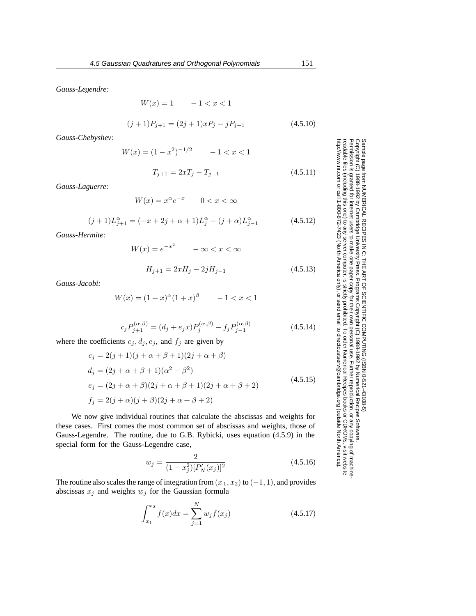*Gauss-Legendre:*

 $W(x) = 1$   $-1 < x < 1$ 

$$
(j+1)P_{j+1} = (2j+1)xP_j - jP_{j-1}
$$
\n(4.5.10)

*Gauss-Chebyshev:*

$$
W(x) = (1 - x2)-1/2 - 1 < x < 1
$$
  

$$
T_{j+1} = 2xT_j - T_{j-1}
$$
 (4.5.11)

*Gauss-Laguerre:*

$$
W(x) = x^{\alpha} e^{-x} \qquad 0 < x < \infty
$$

$$
(j+1)L_{j+1}^{\alpha} = (-x+2j+\alpha+1)L_j^{\alpha} - (j+\alpha)L_{j-1}^{\alpha}
$$
 (4.5.12)

*Gauss-Hermite:*

$$
W(x) = e^{-x^2} \qquad -\infty < x < \infty
$$

$$
H_{j+1} = 2xH_j - 2jH_{j-1}
$$
\n(4.5.13)

*Gauss-Jacobi:*

$$
W(x) = (1 - x)^{\alpha} (1 + x)^{\beta} \qquad -1 < x < 1
$$

$$
c_j P_{j+1}^{(\alpha,\beta)} = (d_j + e_j x) P_j^{(\alpha,\beta)} - f_j P_{j-1}^{(\alpha,\beta)}
$$
(4.5.14)

where the coefficients  $c_j, d_j, e_j$ , and  $f_j$  are given by

$$
c_j = 2(j+1)(j+\alpha+\beta+1)(2j+\alpha+\beta)
$$
  
\n
$$
d_j = (2j+\alpha+\beta+1)(\alpha^2-\beta^2)
$$
  
\n
$$
e_j = (2j+\alpha+\beta)(2j+\alpha+\beta+1)(2j+\alpha+\beta+2)
$$
  
\n
$$
f_j = 2(j+\alpha)(j+\beta)(2j+\alpha+\beta+2)
$$
\n(4.5.15)

We now give individual routines that calculate the abscissas and weights for these cases. First comes the most common set of abscissas and weights, those of Gauss-Legendre. The routine, due to G.B. Rybicki, uses equation (4.5.9) in the special form for the Gauss-Legendre case,

$$
w_j = \frac{2}{(1 - x_j^2)[P'_N(x_j)]^2} \tag{4.5.16}
$$

The routine also scales the range of integration from  $(x_1, x_2)$  to  $(-1, 1)$ , and provides abscissas  $x_j$  and weights  $w_j$  for the Gaussian formula

$$
\int_{x_1}^{x_2} f(x)dx = \sum_{j=1}^{N} w_j f(x_j)
$$
\n(4.5.17)

Permission is granted for internet users to make one paper copy for their own personal use. Further reproduction, or any copyin Copyright (C) 1988-1992 by Cambridge University Press.Programs Copyright (C) 1988-1992 by Numerical Recipes Software. g of machinereadable files (including this one) to any servercomputer, is strictly prohibited. To order Numerical Recipes booksor CDROMs, visit website http://www.nr.com or call 1-800-872-7423 (North America only),or send email to directcustserv@cambridge.org (outside North America).

Sample page from NUMERICAL RECIPES IN C: THE ART OF SCIENTIFIC COMPUTING (ISBN 0-521-43108-5)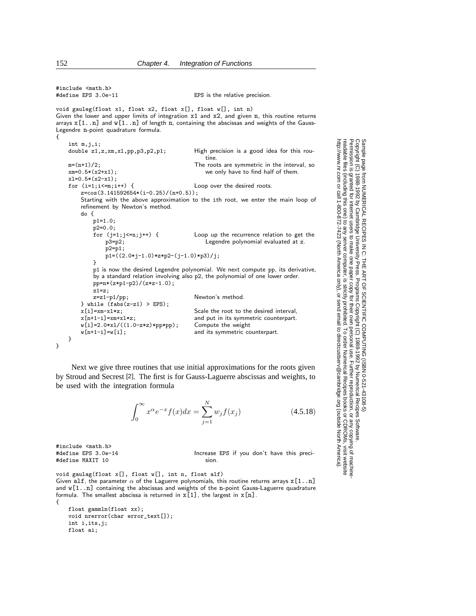#include <math.h><br>#define EPS 3.0e-11

EPS is the relative precision.

```
void gauleg(float x1, float x2, float x[], float w[], int n)
Given the lower and upper limits of integration x1 and x2, and given n, this routine returns
arrays x[1..n] and w[1..n] of length n, containing the abscissas and weights of the Gauss-
Legendre n-point quadrature formula.
{
    int m.j.i:
    double z1,z,xm,x1,pp,p3,p2,p1; High precision is a good idea for this rou-
                                                  tine.
    m=(n+1)/2; The roots are symmetric in the interval, so
    xm=0.5*(x2+x1); we only have to find half of them.
    x1=0.5*(x2-x1);for (i=1;i<=m;i++) { Loop over the desired roots.
        z=cos(3.141592654*(i-0.25)/(n+0.5));
        Starting with the above approximation to the ith root, we enter the main loop of
        refinement by Newton's method.
        do {
            p1=1.0;
            p2=0.0;
            for (j=1;j<=n;j++) { Loop up the recurrence relation to get the
                p3=p2; Legendre polynomial evaluated at z.
                p2=p1;
                p1=((2.0*j-1.0)*z*p2-(j-1.0)*p3)/j;
            }
            p1 is now the desired Legendre polynomial. We next compute pp, its derivative,
            by a standard relation involving also p2, the polynomial of one lower order.
            pp=n*(z*p1-p2)/(z*z-1.0);
            z1=z;<br>z=z1-p1/pp;
                                              Newton's method.
        } while (fabs(z-z1) > EPS);<br>x[i]=xm-xl*z;
        x[i]=xm-x1*z;<br>
x[n+1-i]=xm+x1*z;<br>
Scale the root to the desired interval,<br>
and put in its symmetric counterpart.
                                              and put in its symmetric counterpart.<br>Compute the weight
        w[i]=2.0*x1/((1.0-z*z)*pp*p);<br>w[n+1-i]=w[i];and its symmetric counterpart.
    }
}
```
Next we give three routines that use initial approximations for the roots given by Stroud and Secrest [2]. The first is for Gauss-Laguerre abscissas and weights, to be used with the integration formula

$$
\int_0^\infty x^\alpha e^{-x} f(x) dx = \sum_{j=1}^N w_j f(x_j)
$$
\n(4.5.18)

#include <math.h><br>#define EPS 3.0e-14 #define MAXIT 10

Increase EPS if you don't have this preci-<br>sion.

Permission is granted for internet users to make one paper copy for their own personal use. Further reproduction, or any copyin

computer, is strictly prohibited. To order Numerical Recipes books

or send email to directcustserv@cambridge.org (outside North America).

Sample page from NUMERICAL RECIPES IN C: THE ART OF SCIENTIFIC COMPUTING (ISBN 0-521-43108-5)

Programs Copyright (C) 1988-1992 by Numerical Recipes Software.

g of machine-

or CDROMs, visit website

Copyright (C) 1988-1992 by Cambridge University Press.

readable files (including this one) to any server

http://www.nr.com or call 1-800-872-7423 (North America only),

void gaulag(float x[], float w[], int n, float alf) Given alf, the parameter  $\alpha$  of the Laguerre polynomials, this routine returns arrays  $x[1..n]$ and w[1..n] containing the abscissas and weights of the n-point Gauss-Laguerre quadrature formula. The smallest abscissa is returned in  $x[1]$ , the largest in  $x[n]$ . {

```
float gammln(float xx);
void nrerror(char error_text[]);
int i,its,j;
float ai;
```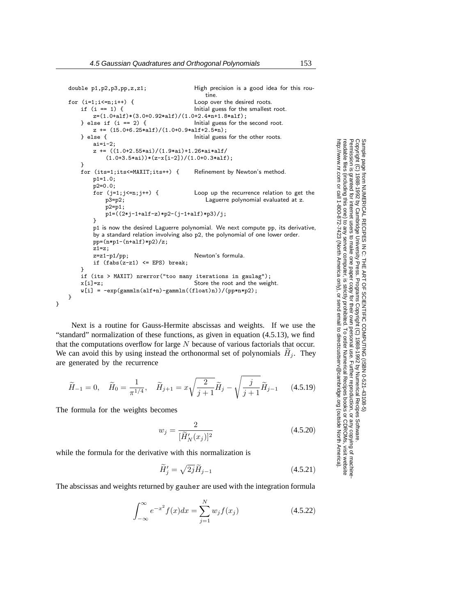```
double p1,p2,p3,pp,z,z1; High precision is a good idea for this rou-
                                                 tine.
for (i=1; i \le n; i++) { Loop over the desired roots.<br>if (i == 1) { \qquad \qquad lnitial guess for the smallest
                                             Initial guess for the smallest root.
    z=(1.0+alf)*(3.0+0.92*alf)/(1.0+2.4*n+1.8*alf);
                                             Initial guess for the second root.
    z += (15.0+6.25*alf)/(1.0+0.9*alf+2.5*n);
                                             Initial guess for the other roots.
        ai=i-2;
        z += ((1.0+2.55*ai)/(1.9*ai)+1.26*ai*alf/
             (1.0+3.5*ai))*(z-x[i-2])/(1.0+0.3*alf);}
    for (its=1;its<=MAXIT;its++) { Refinement by Newton's method.
        p1=1.0;
        p2=0.0;<br>for (j=1;j<=n;j++) {
             (j=1;j\leq n;j++ { Loop up the recurrence relation to get the p3=p2; <br>Laguerre polynomial evaluated at z.
                                                 Laguerre polynomial evaluated at z.
             p2=p1;
             p1=((2*j-1+alf-z)*p2-(j-1+alf)*p3)/j;
        }
        p1 is now the desired Laguerre polynomial. We next compute pp, its derivative,
         by a standard relation involving also p2, the polynomial of one lower order.
        pp=(n*p1-(n+alf)*p2)/z;z1=z;z=z1-p1/pp; Newton's formula.
        if (fabs(z-z1) \leq EPS) break;
    }
    if (its > MAXIT) nrerror("too many iterations in gaulag");<br>x[i]=z; Store the root and the weig
                                             Store the root and the weight.
    w[i] = -exp(gammln(alf+n)-gammln((float)n))/(pp*n*p2);}
```
Next is a routine for Gauss-Hermite abscissas and weights. If we use the "standard" normalization of these functions, as given in equation (4.5.13), we find that the computations overflow for large  $N$  because of various factorials that occur. We can avoid this by using instead the orthonormal set of polynomials  $H_j$ . They are generated by the recurrence

$$
\widetilde{H}_{-1} = 0, \quad \widetilde{H}_0 = \frac{1}{\pi^{1/4}}, \quad \widetilde{H}_{j+1} = x\sqrt{\frac{2}{j+1}}\widetilde{H}_j - \sqrt{\frac{j}{j+1}}\widetilde{H}_{j-1}
$$
\n(4.5.19)

The formula for the weights becomes

}

$$
w_j = \frac{2}{[\widetilde{H}'_N(x_j)]^2}
$$
 (4.5.20)

while the formula for the derivative with this normalization is

$$
\widetilde{H}'_j = \sqrt{2j}\widetilde{H}_{j-1} \tag{4.5.21}
$$

The abscissas and weights returned by gauher are used with the integration formula

$$
\int_{-\infty}^{\infty} e^{-x^2} f(x) dx = \sum_{j=1}^{N} w_j f(x_j)
$$
 (4.5.22)

Permission is granted for internet users to make one paper copy for their own personal use. Further reproduction, or any copyin

computer, is strictly prohibited. To order Numerical Recipes books

or send email to directcustserv@cambridge.org (outside North America).

email to directcustserv@cambridge.org (outside North America).

Sample page from NUMERICAL RECIPES IN C: THE ART OF SCIENTIFIC COMPUTING (ISBN 0-521-43108-5)

Programs Copyright (C) 1988-1992 by Numerical Recipes Software.

PES IN C: THE ART OF SCIENTIFIC COMPUTING (ISBN 0-521-43108-5)<br>e University Press. Programs Copyright (C) 1988-1992 by Numerical Recipes Software.<br>to make one paper copy for their own personal use. Further reproduction, or

g of machine-

or CDROMs, visit website

Copyright (C) 1988-1992 by Cambridge University Press.

readable files (including this one) to any server

http://www.nr.com or call 1-800-872-7423 (North America only),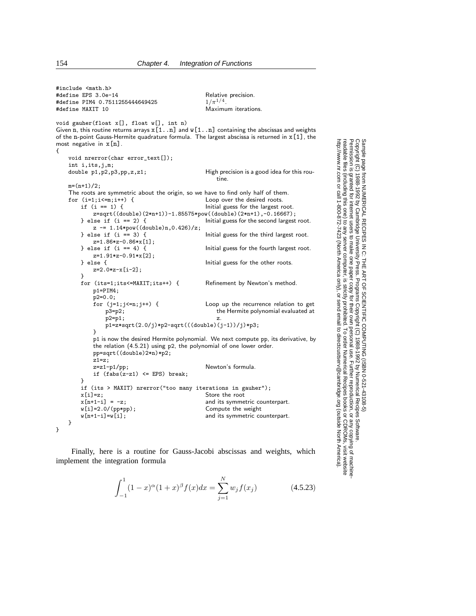#define EPS 3.0e-14 Relative precision.

| #define PIM4 0.7511255444649425                                                                                                                                                                                                                | $1/\pi^{1/4}$ .                                      |
|------------------------------------------------------------------------------------------------------------------------------------------------------------------------------------------------------------------------------------------------|------------------------------------------------------|
| #define MAXIT 10                                                                                                                                                                                                                               | Maximum iterations.                                  |
| void gauher(float x[], float w[], int n)<br>Given n, this routine returns arrays $x[1n]$ and $w[1n]$ containing the abscissas and weights<br>of the n-point Gauss-Hermite quadrature formula. The largest abscissa is returned in $x[1]$ , the |                                                      |
| most negative in $x[n]$ .<br>€                                                                                                                                                                                                                 |                                                      |
| void nrerror(char error_text[]);                                                                                                                                                                                                               |                                                      |
| int i, its, j, m;                                                                                                                                                                                                                              |                                                      |
| double p1, p2, p3, pp, z, z1;                                                                                                                                                                                                                  | High precision is a good idea for this rou-<br>tine. |
| $m=(n+1)/2;$                                                                                                                                                                                                                                   |                                                      |
| The roots are symmetric about the origin, so we have to find only half of them.                                                                                                                                                                |                                                      |
| for $(i=1; i<=m; i++)$ {                                                                                                                                                                                                                       | Loop over the desired roots.                         |
| if $(i == 1)$ {                                                                                                                                                                                                                                | Initial guess for the largest root.                  |
| z=sqrt((double)(2*n+1))-1.85575*pow((double)(2*n+1),-0.16667);                                                                                                                                                                                 |                                                      |
| } else if $(i == 2)$ {                                                                                                                                                                                                                         | Initial guess for the second largest root.           |
| $z = 1.14*pow((double)n, 0.426)/z;$                                                                                                                                                                                                            |                                                      |
| } else if $(i == 3)$ {                                                                                                                                                                                                                         | Initial guess for the third largest root.            |
| z=1.86*z-0.86*x[1];                                                                                                                                                                                                                            |                                                      |
| } else if $(i == 4)$ {                                                                                                                                                                                                                         | Initial guess for the fourth largest root.           |
| $z=1.91*z-0.91*x[2];$                                                                                                                                                                                                                          |                                                      |
| } else {                                                                                                                                                                                                                                       | Initial guess for the other roots.                   |
| $z=2.0*z-x[i-2];$                                                                                                                                                                                                                              |                                                      |
| ł                                                                                                                                                                                                                                              |                                                      |
| for $(its=1; its<=MAXIT; its++)$ {                                                                                                                                                                                                             | Refinement by Newton's method.                       |
| $p1 = PIM4;$                                                                                                                                                                                                                                   |                                                      |
| $p2=0.0;$                                                                                                                                                                                                                                      |                                                      |
| for $(j=1; j<=n; j++)$ {                                                                                                                                                                                                                       | Loop up the recurrence relation to get               |
| p3=p2;                                                                                                                                                                                                                                         | the Hermite polynomial evaluated at                  |
| $p2=p1;$                                                                                                                                                                                                                                       | z.                                                   |
|                                                                                                                                                                                                                                                |                                                      |
| $p1 = z * sqrt(2.0/j) * p2 - sqrt(((double)(j-1))/(j) * p3;$<br>ł                                                                                                                                                                              |                                                      |
|                                                                                                                                                                                                                                                |                                                      |
| p1 is now the desired Hermite polynomial. We next compute pp, its derivative, by<br>the relation $(4.5.21)$ using p2, the polynomial of one lower order.                                                                                       |                                                      |
| pp=sqrt((double)2*n)*p2;                                                                                                                                                                                                                       |                                                      |
|                                                                                                                                                                                                                                                |                                                      |
| $z1=z;$                                                                                                                                                                                                                                        | Newton's formula.                                    |
| $z = z1 - p1(pp;$                                                                                                                                                                                                                              |                                                      |
| if $(fabs(z-z1) \leq EPS)$ break;<br>}                                                                                                                                                                                                         |                                                      |
|                                                                                                                                                                                                                                                |                                                      |
| if (its > MAXIT) nrerror("too many iterations in gauher");                                                                                                                                                                                     |                                                      |
| $x[i]=z;$                                                                                                                                                                                                                                      | Store the root                                       |
| $x[n+1-i] = -z;$                                                                                                                                                                                                                               | and its symmetric counterpart.                       |
| $w[i]=2.0/(pp*pp);$                                                                                                                                                                                                                            | Compute the weight                                   |
| $w[n+1-i]=w[i];$                                                                                                                                                                                                                               | and its symmetric counterpart.                       |
| }                                                                                                                                                                                                                                              |                                                      |
| }                                                                                                                                                                                                                                              |                                                      |

Permission is granted for internet users to make one paper copy for their own personal use. Further reproduction, or any copyin

computer, is strictly prohibited. To order Numerical Recipes books

or send email to directcustserv@cambridge.org (outside North America).

Sample page from NUMERICAL RECIPES IN C: THE ART OF SCIENTIFIC COMPUTING (ISBN 0-521-43108-5)

Programs Copyright (C) 1988-1992 by Numerical Recipes Software.

g of machine-

or CDROMs, visit website

Copyright (C) 1988-1992 by Cambridge University Press.

readable files (including this one) to any server

http://www.nr.com or call 1-800-872-7423 (North America only),

Finally, here is a routine for Gauss-Jacobi abscissas and weights, which implement the integration formula

$$
\int_{-1}^{1} (1-x)^{\alpha} (1+x)^{\beta} f(x) dx = \sum_{j=1}^{N} w_j f(x_j)
$$
 (4.5.23)

#include <math.h>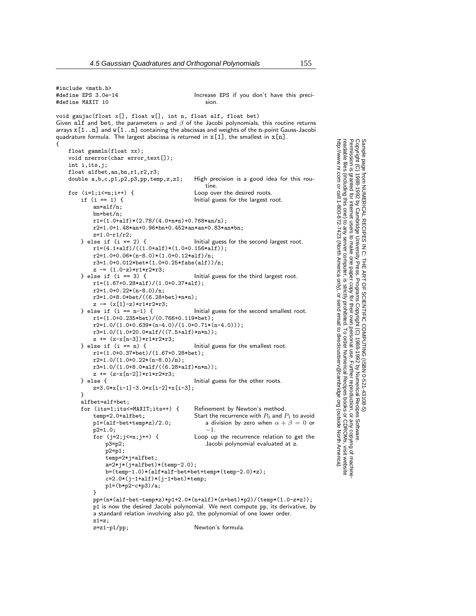```
#include <math.h><br>#define EPS 3.0e-14
                                               Increase EPS if you don't have this preci-
#define MAXTT 10
void gaujac(float x[], float w[], int n, float alf, float bet)
Given alf and bet, the parameters \alpha and \beta of the Jacobi polynomials, this routine returns
arrays x[1..n] and w[1..n] containing the abscissas and weights of the n-point Gauss-Jacobi
quadrature formula. The largest abscissa is returned in x[1], the smallest in x[n].
    float gammln(float xx);
    void nrerror(char error_text[]);
    int i,its,j;
    float alfbet,an,bn,r1,r2,r3;
    double a,b,c,p1,p2,p3,pp,temp,z,z1; High precision is a good idea for this rou-
                                                   tine.
    for (i=1; i \le n; i++) { Loop over the desired roots.<br>
if (i == 1) { \qquad \qquad lnitial guess for the largest re
                                               Initial guess for the largest root.
            an=alf/n;
            bn=bet/n;
            r1=(1.0+a1f)*(2.78/(4.0+n*n)+0.768*an/n);r2=1.0+1.48*an+0.96*bn+0.452*an*an+0.83*an*bn;
            z=1.0-r1/r2;
        } else if (i == 2) { Initial guess for the second largest root.
            r1=(4.1+alf)/((1.0+alf)*(1.0+0.156*alf));
            r2=1.0+0.06*(n-8.0)*(1.0+0.12*alf)/n:
            r3=1.0+0.012*bet*(1.0+0.25*fabs(alf))/n;
        z = (1.0-z)*r1*r2*r3;<br>} else if (i == 3) {
                                               Initial guess for the third largest root.
            r1=(1.67+0.28*alf)/(1.0+0.37*alf);
            r2=1.0+0.22*(n-8.0)/n;r3=1.0+8.0*bet/((6.28+bet)*n*n);
        z -= (x[1]-z)*r1*r2*r3;<br>} else if (i == n-1) {
                                               Initial guess for the second smallest root.
            r1=(1.0+0.235*bet)/(0.766+0.119*bet);
            r2=1.0/(1.0+0.639*(n-4.0)/(1.0+0.71*(n-4.0)));
            r3=1.0/(1.0+20.0*alf/((7.5+alf)*n*n));
            z += (z-x[n-3])*r1*r2*r3;
        } else if (i == n) { Initial guess for the smallest root.
            r1=(1.0+0.37*bet)/(1.67+0.28*bet);
            r2=1.0/(1.0+0.22*(n-8.0)/n);
            r3=1.0/(1.0+8.0*alf/((6.28+alf)*n*n));
            z := (z-x[n-2]) * r1 * r2 * r3;} else { Initial guess for the other roots.
            z=3.0*x[i-1]-3.0*x[i-2]+x[i-3];
        }
        alfbet=alf+bet;
        for (its=1; its \leq MAXIT; its++) {<br>temp=2.0+alfbet;<br>Start the recurrence with P_0 and l
                                               Start the recurrence with P_0 and P_1 to avoid
                                                   a division by zero when \alpha + \beta = 0 or
                                                   −1.
            p1=(alf-bet+temp*z)/2.0;
            p2=1.0;<br>for (j=2;j <= n;j ++) {
                (j=2; j<=n; j++) { Loop up the recurrence relation to get the p3=p2;
                                                   Jacobi polynomial evaluated at z.
                p2=p1;
                temp=2*j+alfbet;
                a=2*j*(j+alfbet)*(temp-2.0);
                b=(temp-1.0)*(alf*alf-bet*bet+temp*(temp-2.0)*z);
                c=2.0*(j-1+a1f)*(j-1+bet)*temp;p1=(b*p2-c*p3)/a;
            }
            pp=(n*(alf-bet-temp*z)*p1+2.0*(n+alf)*(n+bet)*p2)/(temp*(1.0-z*z));
            p1 is now the desired Jacobi polynomial. We next compute pp, its derivative, by
            a standard relation involving also p2, the polynomial of one lower order.
            z1=z;
```

```
z=z1-p1/pp; Newton's formula.
```
{

Permission is granted for internet users to make one paper copy for their own personal use. Further reproduction, or any copyin

computer, is strictly prohibited. To order Numerical Recipes books

or send email to directcustserv@cambridge.org (outside North America).

email to directcustserv@cambridge.org (outside North America).

Sample page from NUMERICAL RECIPES IN C: THE ART OF SCIENTIFIC COMPUTING (ISBN 0-521-43108-5)

SCIENTIFIC COMPUTING

Programs Copyright (C) 1988-1992 by Numerical Recipes Software.

PUTING (ISBN 0-521-43'<br>1988-1992 by Numerical

 $(9 - 8)$ 

g of machine-

or CDROMs, visit website

tt (C) 1988-1992 by Numerical Recipes Software.<br>I personal use. Further reproduction, or any copying of machine<br>I . To order Numerical Recipes books or CDROMs, visit website<br>I . To order Numerical Recipes books or CDROMs,

Copyright (C) 1988-1992 by Cambridge University Press.

from NUMERICAL RECIPES IN C: THE AF<br>1988-1992 by Cambridge University Press.<br>granted for internet users to make one pap

readable files (including this one) to any server

Sample page from I<br>Copyright (C) 1988<br>Permission is grant<br>readable files (inclu<br>http://www.nr.com c

http://www.nr.com or call 1-800-872-7423 (North America only),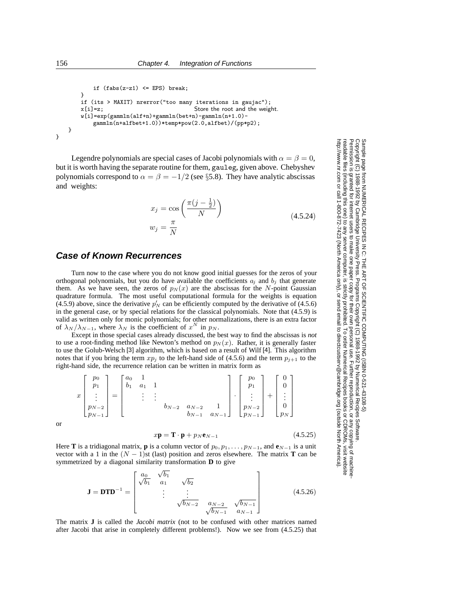```
if (fabs(z-z1) \leq EPS) break;
         }
         if (its > MAXIT) nrerror("too many iterations in gaujac");<br>x[i]=z; Store the root and the weig
                                                    Store the root and the weight.
         w[i]=exp(gammln(alf+n)+gammln(bet+n)-gammln(n+1.0)-
              gammln(n+alfbet+1.0))*temp*pow(2.0,alfbet)/(pp*p2);
    }
}
```
Legendre polynomials are special cases of Jacobi polynomials with  $\alpha = \beta = 0$ , but it is worth having the separate routine for them, gauleg, given above. Chebyshev polynomials correspond to  $\alpha = \beta = -1/2$  (see §5.8). They have analytic abscissas and weights:

$$
x_j = \cos\left(\frac{\pi(j - \frac{1}{2})}{N}\right)
$$
  

$$
w_j = \frac{\pi}{N}
$$
 (4.5.24)

Permission is granted for internet users to make one paper copy for their own personal use. Further reproduction, or any copyin

computer, is strictly prohibited. To order Numerical Recipes books

or send email to directcustserv@cambridge.org (outside North America).

from NUMERICAL RECIPES IN C. THE ART OF SCIENTIFIC COMPUTING (ISBN 0-521-43108-5)<br>1988-1992 by Cambridge University Press. Programs Copyright (C) 1988-1992 by Numerical Recipes Software

Sample page from NUMERICAL RECIPES IN C: THE ART OF SCIENTIFIC COMPUTING (ISBN 0-521-43108-5)

Programs Copyright (C) 1988-1992 by Numerical Recipes Software.

g of machine-

or CDROMs, visit website

Copyright (C) 1988-1992 by Cambridge University Press.

Sample page 1<br>Copyright (C)

readable files (including this one) to any server

http://www.nr.com or call 1-800-872-7423 (North America only),

### **Case of Known Recurrences**

Turn now to the case where you do not know good initial guesses for the zeros of your orthogonal polynomials, but you do have available the coefficients  $a_i$  and  $b_j$  that generate them. As we have seen, the zeros of  $p_N(x)$  are the abscissas for the N-point Gaussian quadrature formula. The most useful computational formula for the weights is equation  $(4.5.9)$  above, since the derivative  $p'_N$  can be efficiently computed by the derivative of  $(4.5.6)$ in the general case, or by special relations for the classical polynomials. Note that (4.5.9) is valid as written only for monic polynomials; for other normalizations, there is an extra factor of  $\lambda_N/\lambda_{N-1}$ , where  $\lambda_N$  is the coefficient of  $x^N$  in  $p_N$ .

Except in those special cases already discussed, the best way to find the abscissas is *not* to use a root-finding method like Newton's method on  $p_N(x)$ . Rather, it is generally faster to use the Golub-Welsch [3] algorithm, which is based on a result of Wilf [4]. This algorithm notes that if you bring the term  $xp_j$  to the left-hand side of (4.5.6) and the term  $p_{j+1}$  to the right-hand side, the recurrence relation can be written in matrix form as

$$
x\begin{bmatrix}p_0\\p_1\\ \vdots\\p_{N-2}\\p_{N-1}\end{bmatrix}=\begin{bmatrix}a_0&1\\b_1&a_1&1\\ \vdots&\vdots\\&b_{N-2}&a_{N-2}&1\\&b_{N-1}&a_{N-1}\end{bmatrix}\cdot\begin{bmatrix}p_0\\p_1\\ \vdots\\p_{N-2}\\p_{N-1}\end{bmatrix}+\begin{bmatrix}0\\0\\ \vdots\\0\\p_N\end{bmatrix}
$$

$$
x\mathbf{p} = \mathbf{T} \cdot \mathbf{p} + p_N \mathbf{e}_{N-1} \tag{4.5.25}
$$

Here **T** is a tridiagonal matrix, **p** is a column vector of  $p_0, p_1, \ldots, p_{N-1}$ , and  $\mathbf{e}_{N-1}$  is a unit vector with a 1 in the  $(N - 1)$ st (last) position and zeros elsewhere. The matrix **T** can be symmetrized by a diagonal similarity transformation **D** to give

$$
\mathbf{J} = \mathbf{D} \mathbf{T} \mathbf{D}^{-1} = \begin{bmatrix} a_0 & \sqrt{b_1} & & & \\ \sqrt{b_1} & a_1 & \sqrt{b_2} & & \\ & \vdots & \vdots & & \\ & & \sqrt{b_{N-2}} & a_{N-2} & \sqrt{b_{N-1}} \\ & & & \sqrt{b_{N-1}} & a_{N-1} \end{bmatrix}
$$
(4.5.26)

The matrix **J** is called the *Jacobi matrix* (not to be confused with other matrices named after Jacobi that arise in completely different problems!). Now we see from (4.5.25) that

or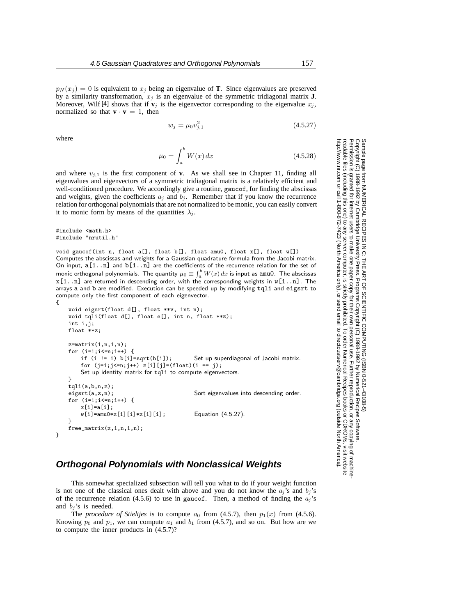$p_N(x_j) = 0$  is equivalent to  $x_j$  being an eigenvalue of **T**. Since eigenvalues are preserved by a similarity transformation,  $x_j$  is an eigenvalue of the symmetric tridiagonal matrix **J**. Moreover, Wilf [4] shows that if  $\mathbf{v}_i$  is the eigenvector corresponding to the eigenvalue  $x_i$ , normalized so that  $\mathbf{v} \cdot \mathbf{v} = 1$ , then

$$
w_j = \mu_0 v_{j,1}^2 \tag{4.5.27}
$$

where

$$
\mu_0 = \int_a^b W(x) \, dx \tag{4.5.28}
$$

and where  $v_{i,1}$  is the first component of **v**. As we shall see in Chapter 11, finding all eigenvalues and eigenvectors of a symmetric tridiagonal matrix is a relatively efficient and well-conditioned procedure. We accordingly give a routine, gaucof, for finding the abscissas and weights, given the coefficients  $a_j$  and  $b_j$ . Remember that if you know the recurrence relation for orthogonal polynomials that are not normalized to be monic, you can easily convert it to monic form by means of the quantities  $\lambda_j$ .

```
#include <math.h>
#include "nrutil.h"
```
void gaucof(int n, float a[], float b[], float amu0, float x[], float w[]) Computes the abscissas and weights for a Gaussian quadrature formula from the Jacobi matrix. On input,  $a[1..n]$  and  $b[1..n]$  are the coefficients of the recurrence relation for the set of monic orthogonal polynomials. The quantity  $\mu_0 \equiv \int_a^b W(x)\,dx$  is input as amu0. The abscissas<br>x [1 = n] are returned in descending order with the corresponding weights in w [1 = n]. The  $x[1..n]$  are returned in descending order, with the corresponding weights in  $w[1..n]$ . The arrays a and b are modified. Execution can be speeded up by modifying tqli and eigsrt to compute only the first component of each eigenvector. {

```
void eigsrt(float d[], float **v, int n);
   void tqli(float d[], float e[], int n, float **z);
   int i,j;
   float **z;
   z = matrix(1, n, 1, n);for (i=1;i<=n;i++) {
       if (i != 1) b[i]=sqrt(b[i]); Set up superdiagonal of Jacobi matrix.
       for (j=1; j<=n; j++) z[i][j]=(float)(i == j);Set up identity matrix for tqli to compute eigenvectors.
    }
   tqli(a,b,n,z);
   eigsrt(a,z,n); Sort eigenvalues into descending order.
   for (i=1;i<=n;i++) {
       x[i]=a[i]:
       w[i] = amu0*z[1][i]*z[1][i]; Equation (4.5.27).
   }
   free_matrix(z,1,n,1,n);
}
```
#### **Orthogonal Polynomials with Nonclassical Weights**

This somewhat specialized subsection will tell you what to do if your weight function is not one of the classical ones dealt with above and you do not know the  $a_j$ 's and  $b_j$ 's of the recurrence relation (4.5.6) to use in gaucof. Then, a method of finding the  $a_j$ 's and  $b_j$ 's is needed.

The *procedure of Stieltjes* is to compute  $a_0$  from (4.5.7), then  $p_1(x)$  from (4.5.6). Knowing  $p_0$  and  $p_1$ , we can compute  $a_1$  and  $b_1$  from (4.5.7), and so on. But how are we to compute the inner products in (4.5.7)?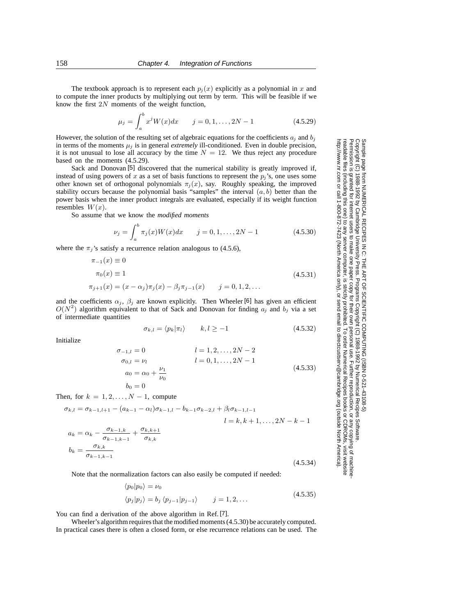The textbook approach is to represent each  $p_j(x)$  explicitly as a polynomial in x and to compute the inner products by multiplying out term by term. This will be feasible if we know the first  $2N$  moments of the weight function,

$$
\mu_j = \int_a^b x^j W(x) dx \qquad j = 0, 1, \dots, 2N - 1 \tag{4.5.29}
$$

However, the solution of the resulting set of algebraic equations for the coefficients  $a_i$  and  $b_j$ in terms of the moments  $\mu_j$  is in general *extremely* ill-conditioned. Even in double precision, it is not unusual to lose all accuracy by the time  $N = 12$ . We thus reject any procedure based on the moments (4.5.29).

Sack and Donovan [5] discovered that the numerical stability is greatly improved if, instead of using powers of x as a set of basis functions to represent the  $p_j$ 's, one uses some other known set of orthogonal polynomials  $\pi_j(x)$ , say. Roughly speaking, the improved stability occurs because the polynomial basis "samples" the interval  $(a, b)$  better than the power basis when the inner product integrals are evaluated, especially if its weight function resembles  $W(x)$ .

So assume that we know the *modified moments*

$$
\nu_j = \int_a^b \pi_j(x) W(x) dx \qquad j = 0, 1, \dots, 2N - 1 \tag{4.5.30}
$$

where the  $\pi_j$ 's satisfy a recurrence relation analogous to (4.5.6),

$$
\pi_{-1}(x) \equiv 0
$$
  
\n
$$
\pi_0(x) \equiv 1
$$
  
\n
$$
\pi_{j+1}(x) = (x - \alpha_j)\pi_j(x) - \beta_j \pi_{j-1}(x) \qquad j = 0, 1, 2, ...
$$
\n(4.5.31)

and the coefficients  $\alpha_j$ ,  $\beta_j$  are known explicitly. Then Wheeler [6] has given an efficient  $O(N^2)$  algorithm equivalent to that of Sack and Donovan for finding  $a_j$  and  $b_j$  via a set of intermediate quantities

$$
\sigma_{k,l} = \langle p_k | \pi_l \rangle \qquad k, l \ge -1 \tag{4.5.32}
$$

Permission is granted for internet users to make one paper copy for their own personal use. Further reproduction, or any copyin

computer, is strictly prohibited. To order Numerical Recipes books

or send email to directcustserv@cambridge.org (outside North America).

Sample page from NUMERICAL RECIPES IN C: THE ART OF SCIENTIFIC COMPUTING (ISBN 0-521-43108-5)

Programs Copyright (C) 1988-1992 by Numerical Recipes Software.

g of machine-

or CDROMs, visit website

Copyright (C) 1988-1992 by Cambridge University Press.

readable files (including this one) to any server

http://www.nr.com or call 1-800-872-7423 (North America only),

Initialize

$$
\sigma_{-1,l} = 0 \qquad l = 1, 2, ..., 2N - 2
$$
  
\n
$$
\sigma_{0,l} = \nu_l \qquad l = 0, 1, ..., 2N - 1
$$
  
\n
$$
a_0 = \alpha_0 + \frac{\nu_1}{\nu_0}
$$
  
\n
$$
b_0 = 0
$$
\n(4.5.33)

Then, for  $k = 1, 2, ..., N - 1$ , compute

$$
\sigma_{k,l} = \sigma_{k-1,l+1} - (a_{k-1} - \alpha_l)\sigma_{k-1,l} - b_{k-1}\sigma_{k-2,l} + \beta_l \sigma_{k-1,l-1}
$$
  
\n
$$
l = k, k+1, ..., 2N - k - 1
$$
  
\n
$$
a_k = \alpha_k - \frac{\sigma_{k-1,k}}{\sigma_{k-1,k-1}} + \frac{\sigma_{k,k+1}}{\sigma_{k,k}}
$$
  
\n
$$
b_k = \frac{\sigma_{k,k}}{\sigma_{k-1,k-1}}
$$
  
\n(4.5.34)

Note that the normalization factors can also easily be computed if needed:

$$
\langle p_0 | p_0 \rangle = \nu_0
$$
  

$$
\langle p_j | p_j \rangle = b_j \langle p_{j-1} | p_{j-1} \rangle \qquad j = 1, 2, ...
$$
 (4.5.35)

You can find a derivation of the above algorithm in Ref. [7].

 $p = p - y$ 

Wheeler's algorithm requires that the modified moments (4.5.30) be accurately computed. In practical cases there is often a closed form, or else recurrence relations can be used. The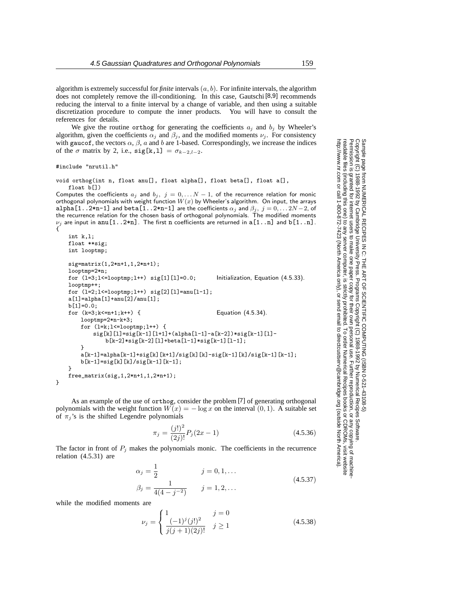algorithm is extremely successful for *finite* intervals (a, b). For infinite intervals, the algorithm does not completely remove the ill-conditioning. In this case, Gautschi [8,9] recommends reducing the interval to a finite interval by a change of variable, and then using a suitable discretization procedure to compute the inner products. You will have to consult the references for details.

We give the routine orthog for generating the coefficients  $a_j$  and  $b_j$  by Wheeler's algorithm, given the coefficients  $\alpha_j$  and  $\beta_j$ , and the modified moments  $\nu_j$ . For consistency with gaucof, the vectors  $\alpha$ ,  $\beta$ , a and b are 1-based. Correspondingly, we increase the indices of the  $\sigma$  matrix by 2, i.e., sig[k, 1] =  $\sigma_{k-2,l-2}$ .

#include "nrutil.h"

int k,l;

void orthog(int n, float anu[], float alpha[], float beta[], float a[], float b[])

Computes the coefficients  $a_j$  and  $b_j$ ,  $j = 0, \ldots N-1$ , of the recurrence relation for monic orthogonal polynomials with weight function  $W(x)$  by Wheeler's algorithm. On input, the arrays alpha[1..2\*n-1] and beta[1..2\*n-1] are the coefficients  $\alpha_j$  and  $\beta_j$ ,  $j = 0, \ldots 2N-2$ , of the recurrence relation for the chosen basis of orthogonal polynomials. The modified moments  $\nu_j$  are input in anu [1..2\*n]. The first n coefficients are returned in a [1..n] and b[1..n]. {

```
float **sig;
    int looptmp;
   sig=matrix(1,2*n+1,1,2*n+1);
   looptmp=2*n;
   for (1=3; 1<=1ooptmp;1++) sig[1][1]=0.0; Initialization, Equation (4.5.33).
   looptmp++;
   for (l=2;l<=looptmp;l++) sig[2][l]=anu[l-1];
   a[1]=alpha[1]+anu[2]/anu[1];
   b[1]=0.0;for (k=3; k<=n+1; k++) { Equation (4.5.34).
       looptmp=2*n-k+3;
       for (l=k; l<=looptmp; l++) {
           \verb&sig[k][l]=\verb&sig[k-1][l+1]+(alpha[l-1]-a[k-2))*\verb&sig[k-1][l]-b[k-2]*sig[k-2][l]+beta[l-1]*sig[k-1][l-1];
       }
       a[k-1]=alpha[k-1]+sig[k][k+1]/sig[k][k]-sig[k-1][k]/sig[k-1][k-1];
       b[k-1]=sig[k][k]/sig[k-1][k-1];
    }
    free_matrix(sig,1,2*n+1,1,2*n+1);
}
```
As an example of the use of orthog, consider the problem [7] of generating orthogonal polynomials with the weight function  $W(x) = -\log x$  on the interval  $(0, 1)$ . A suitable set of  $\pi$ <sup>*j*</sup>'s is the shifted Legendre polynomials

$$
\pi_j = \frac{(j!)^2}{(2j)!} P_j(2x - 1)
$$
\n(4.5.36)

The factor in front of  $P_j$  makes the polynomials monic. The coefficients in the recurrence relation (4.5.31) are

$$
\alpha_j = \frac{1}{2} \qquad j = 0, 1, ...
$$
  

$$
\beta_j = \frac{1}{4(4-j^{-2})} \qquad j = 1, 2, ...
$$
 (4.5.37)

while the modified moments are

$$
\nu_j = \begin{cases} 1 & j = 0\\ \frac{(-1)^j (j!)^2}{j(j+1)(2j)!} & j \ge 1 \end{cases}
$$
(4.5.38)

Sample page<br>Copyright (C)<br>Permission is Copyright (C) 1988-1992 by Cambridge University Press.Sample page from NUMERICAL RECIPES IN C: THE ART OF SCIENTIFIC COMPUTING (ISBN 0-521-43108-5) http://www.nr.com or call 1-800-872-7423 (North America only),readable files (including this one) to any serverPermission is granted for internet users to make one paper copy for their own personal use. Further reproduction, or any copyin from NUMERICAL RECIPES<br>1988-1992 by Cambridge Uni computer, is strictly prohibited. To order Numerical Recipes booksPrograms Copyright (C) 1988-1992 by Numerical Recipes Software. SCIENTIFIC COMPUTING or send email to directcustserv@cambridge.org (outside North America). or CDROMs, visit website g of machine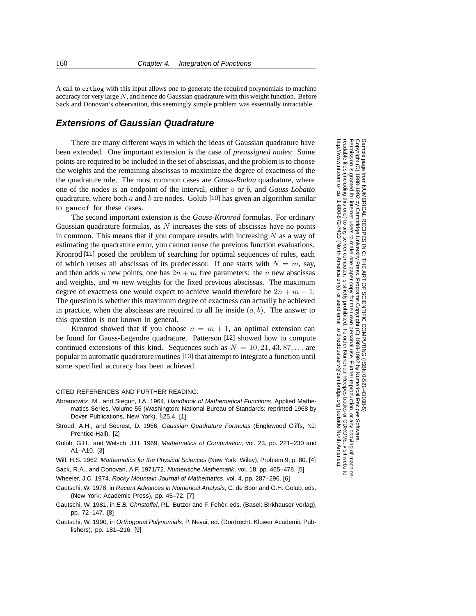A call to orthog with this input allows one to generate the required polynomials to machine accuracy for very large N, and hence do Gaussian quadrature with this weight function. Before Sack and Donovan's observation, this seemingly simple problem was essentially intractable.

#### **Extensions of Gaussian Quadrature**

There are many different ways in which the ideas of Gaussian quadrature have been extended. One important extension is the case of *preassigned nodes*: Some points are required to be included in the set of abscissas, and the problem is to choose the weights and the remaining abscissas to maximize the degree of exactness of the the quadrature rule. The most common cases are *Gauss-Radau* quadrature, where one of the nodes is an endpoint of the interval, either a or b, and *Gauss-Lobatto* quadrature, where both  $a$  and  $b$  are nodes. Golub [10] has given an algorithm similar to gaucof for these cases.

The second important extension is the *Gauss-Kronrod* formulas. For ordinary Gaussian quadrature formulas, as  $N$  increases the sets of abscissas have no points in common. This means that if you compare results with increasing  $N$  as a way of estimating the quadrature error, you cannot reuse the previous function evaluations. Kronrod [11] posed the problem of searching for optimal sequences of rules, each of which reuses all abscissas of its predecessor. If one starts with  $N = m$ , say, and then adds n new points, one has  $2n + m$  free parameters: the n new abscissas and weights, and  $m$  new weights for the fixed previous abscissas. The maximum degree of exactness one would expect to achieve would therefore be  $2n + m - 1$ . The question is whether this maximum degree of exactness can actually be achieved in practice, when the abscissas are required to all lie inside  $(a, b)$ . The answer to this question is not known in general.

Kronrod showed that if you choose  $n = m + 1$ , an optimal extension can be found for Gauss-Legendre quadrature. Patterson [12] showed how to compute continued extensions of this kind. Sequences such as  $N = 10, 21, 43, 87, \ldots$  are popular in automatic quadrature routines [13] that attempt to integrate a function until some specified accuracy has been achieved.

#### CITED REFERENCES AND FURTHER READING:

- Abramowitz, M., and Stegun, I.A. 1964, Handbook of Mathematical Functions, Applied Mathematics Series, Volume 55 (Washington: National Bureau of Standards; reprinted 1968 by Dover Publications, New York), §25.4. [1]
- Stroud, A.H., and Secrest, D. 1966, Gaussian Quadrature Formulas (Englewood Cliffs, NJ: Prentice-Hall). [2]
- Golub, G.H., and Welsch, J.H. 1969, Mathematics of Computation, vol. 23, pp. 221–230 and A1–A10. [3]
- Wilf, H.S. 1962, Mathematics for the Physical Sciences (New York: Wiley), Problem 9, p. 80. [4]
- Sack, R.A., and Donovan, A.F. 1971/72, Numerische Mathematik, vol. 18, pp. 465–478. [5]
- Wheeler, J.C. 1974, Rocky Mountain Journal of Mathematics, vol. 4, pp. 287–296. [6]
- Gautschi, W. 1978, in Recent Advances in Numerical Analysis, C. de Boor and G.H. Golub, eds. (New York: Academic Press), pp. 45–72. [7]
- Gautschi, W. 1981, in E.B. Christoffel, P.L. Butzer and F. Fehér, eds. (Basel: Birkhauser Verlag), pp. 72–147. [8]
- Gautschi, W. 1990, in Orthogonal Polynomials, P. Nevai, ed. (Dordrecht: Kluwer Academic Publishers), pp. 181–216. [9]